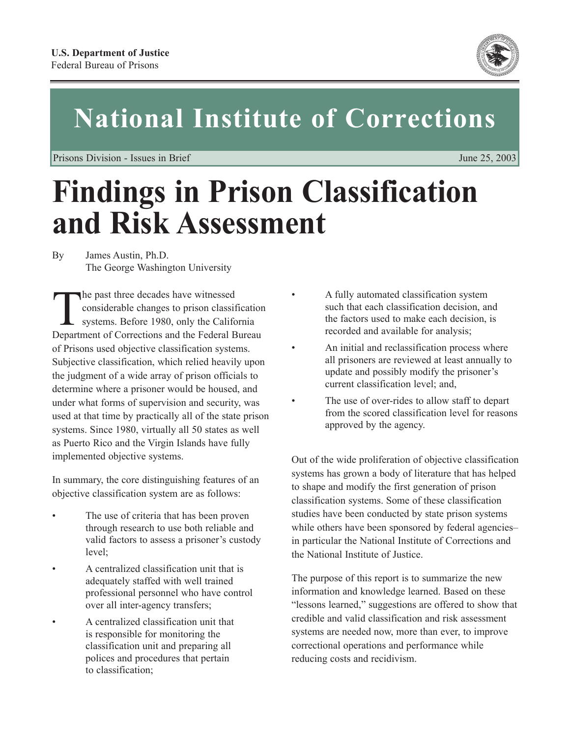

# **National Institute of Corrections**

Prisons Division - Issues in Brief June 25, 2003

# **Findings in Prison Classification and Risk Assessment**

By James Austin, Ph.D. The George Washington University

The past three decades have witnessed<br>
considerable changes to prison classif<br>
systems. Before 1980, only the California<br>
Dependence of Connections and the Endaml D considerable changes to prison classification systems. Before 1980, only the California Department of Corrections and the Federal Bureau of Prisons used objective classification systems. Subjective classification, which relied heavily upon the judgment of a wide array of prison officials to determine where a prisoner would be housed, and under what forms of supervision and security, was used at that time by practically all of the state prison systems. Since 1980, virtually all 50 states as well as Puerto Rico and the Virgin Islands have fully implemented objective systems.

In summary, the core distinguishing features of an objective classification system are as follows:

- The use of criteria that has been proven through research to use both reliable and valid factors to assess a prisoner's custody level;
- A centralized classification unit that is adequately staffed with well trained professional personnel who have control over all inter-agency transfers;
- A centralized classification unit that is responsible for monitoring the classification unit and preparing all polices and procedures that pertain to classification;
- A fully automated classification system such that each classification decision, and the factors used to make each decision, is recorded and available for analysis;
- An initial and reclassification process where all prisoners are reviewed at least annually to update and possibly modify the prisoner's current classification level; and,
- The use of over-rides to allow staff to depart from the scored classification level for reasons approved by the agency.

Out of the wide proliferation of objective classification systems has grown a body of literature that has helped to shape and modify the first generation of prison classification systems. Some of these classification studies have been conducted by state prison systems while others have been sponsored by federal agencies– in particular the National Institute of Corrections and the National Institute of Justice.

The purpose of this report is to summarize the new information and knowledge learned. Based on these "lessons learned," suggestions are offered to show that credible and valid classification and risk assessment systems are needed now, more than ever, to improve correctional operations and performance while reducing costs and recidivism.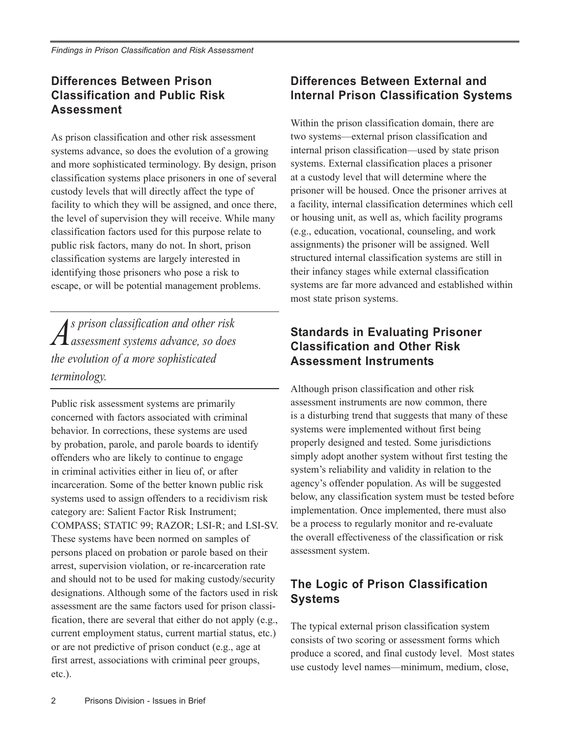## **Differences Between Prison Classification and Public Risk Assessment**

As prison classification and other risk assessment systems advance, so does the evolution of a growing and more sophisticated terminology. By design, prison classification systems place prisoners in one of several custody levels that will directly affect the type of facility to which they will be assigned, and once there, the level of supervision they will receive. While many classification factors used for this purpose relate to public risk factors, many do not. In short, prison classification systems are largely interested in identifying those prisoners who pose a risk to escape, or will be potential management problems.

*As prison classification and other risk assessment systems advance, so does the evolution of a more sophisticated terminology.*

Public risk assessment systems are primarily concerned with factors associated with criminal behavior. In corrections, these systems are used by probation, parole, and parole boards to identify offenders who are likely to continue to engage in criminal activities either in lieu of, or after incarceration. Some of the better known public risk systems used to assign offenders to a recidivism risk category are: Salient Factor Risk Instrument; COMPASS; STATIC 99; RAZOR; LSI-R; and LSI-SV. These systems have been normed on samples of persons placed on probation or parole based on their arrest, supervision violation, or re-incarceration rate and should not to be used for making custody/security designations. Although some of the factors used in risk assessment are the same factors used for prison classification, there are several that either do not apply (e.g., current employment status, current martial status, etc.) or are not predictive of prison conduct (e.g., age at first arrest, associations with criminal peer groups, etc.).

#### **Differences Between External and Internal Prison Classification Systems**

Within the prison classification domain, there are two systems—external prison classification and internal prison classification—used by state prison systems. External classification places a prisoner at a custody level that will determine where the prisoner will be housed. Once the prisoner arrives at a facility, internal classification determines which cell or housing unit, as well as, which facility programs (e.g., education, vocational, counseling, and work assignments) the prisoner will be assigned. Well structured internal classification systems are still in their infancy stages while external classification systems are far more advanced and established within most state prison systems.

#### **Standards in Evaluating Prisoner Classification and Other Risk Assessment Instruments**

Although prison classification and other risk assessment instruments are now common, there is a disturbing trend that suggests that many of these systems were implemented without first being properly designed and tested. Some jurisdictions simply adopt another system without first testing the system's reliability and validity in relation to the agency's offender population. As will be suggested below, any classification system must be tested before implementation. Once implemented, there must also be a process to regularly monitor and re-evaluate the overall effectiveness of the classification or risk assessment system.

## **The Logic of Prison Classification Systems**

The typical external prison classification system consists of two scoring or assessment forms which produce a scored, and final custody level. Most states use custody level names—minimum, medium, close,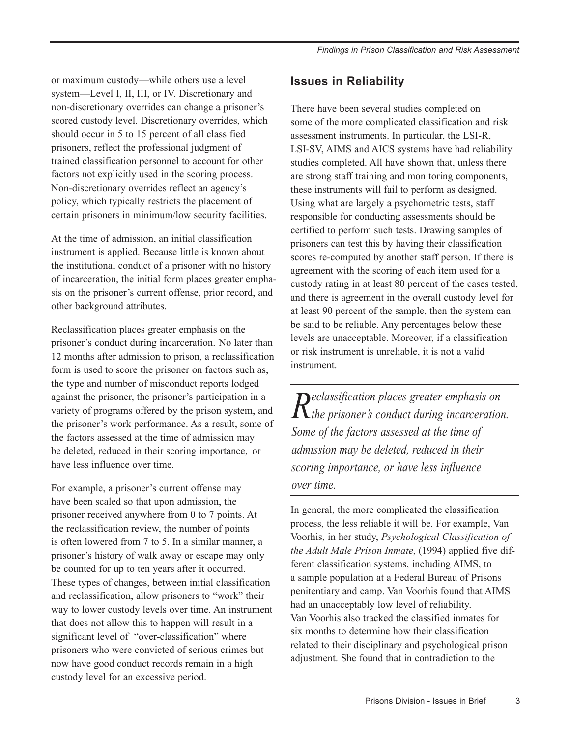or maximum custody—while others use a level system—Level I, II, III, or IV. Discretionary and non-discretionary overrides can change a prisoner's scored custody level. Discretionary overrides, which should occur in 5 to 15 percent of all classified prisoners, reflect the professional judgment of trained classification personnel to account for other factors not explicitly used in the scoring process. Non-discretionary overrides reflect an agency's policy, which typically restricts the placement of certain prisoners in minimum/low security facilities.

At the time of admission, an initial classification instrument is applied. Because little is known about the institutional conduct of a prisoner with no history of incarceration, the initial form places greater emphasis on the prisoner's current offense, prior record, and other background attributes.

Reclassification places greater emphasis on the prisoner's conduct during incarceration. No later than 12 months after admission to prison, a reclassification form is used to score the prisoner on factors such as, the type and number of misconduct reports lodged against the prisoner, the prisoner's participation in a variety of programs offered by the prison system, and the prisoner's work performance. As a result, some of the factors assessed at the time of admission may be deleted, reduced in their scoring importance, or have less influence over time.

For example, a prisoner's current offense may have been scaled so that upon admission, the prisoner received anywhere from 0 to 7 points. At the reclassification review, the number of points is often lowered from 7 to 5. In a similar manner, a prisoner's history of walk away or escape may only be counted for up to ten years after it occurred. These types of changes, between initial classification and reclassification, allow prisoners to "work" their way to lower custody levels over time. An instrument that does not allow this to happen will result in a significant level of "over-classification" where prisoners who were convicted of serious crimes but now have good conduct records remain in a high custody level for an excessive period.

# **Issues in Reliability**

There have been several studies completed on some of the more complicated classification and risk assessment instruments. In particular, the LSI-R, LSI-SV, AIMS and AICS systems have had reliability studies completed. All have shown that, unless there are strong staff training and monitoring components, these instruments will fail to perform as designed. Using what are largely a psychometric tests, staff responsible for conducting assessments should be certified to perform such tests. Drawing samples of prisoners can test this by having their classification scores re-computed by another staff person. If there is agreement with the scoring of each item used for a custody rating in at least 80 percent of the cases tested, and there is agreement in the overall custody level for at least 90 percent of the sample, then the system can be said to be reliable. Any percentages below these levels are unacceptable. Moreover, if a classification or risk instrument is unreliable, it is not a valid instrument.

*Reclassification places greater emphasis on the prisoner's conduct during incarceration. Some of the factors assessed at the time of admission may be deleted, reduced in their scoring importance, or have less influence over time.*

In general, the more complicated the classification process, the less reliable it will be. For example, Van Voorhis, in her study, *Psychological Classification of the Adult Male Prison Inmate*, (1994) applied five different classification systems, including AIMS, to a sample population at a Federal Bureau of Prisons penitentiary and camp. Van Voorhis found that AIMS had an unacceptably low level of reliability. Van Voorhis also tracked the classified inmates for six months to determine how their classification related to their disciplinary and psychological prison adjustment. She found that in contradiction to the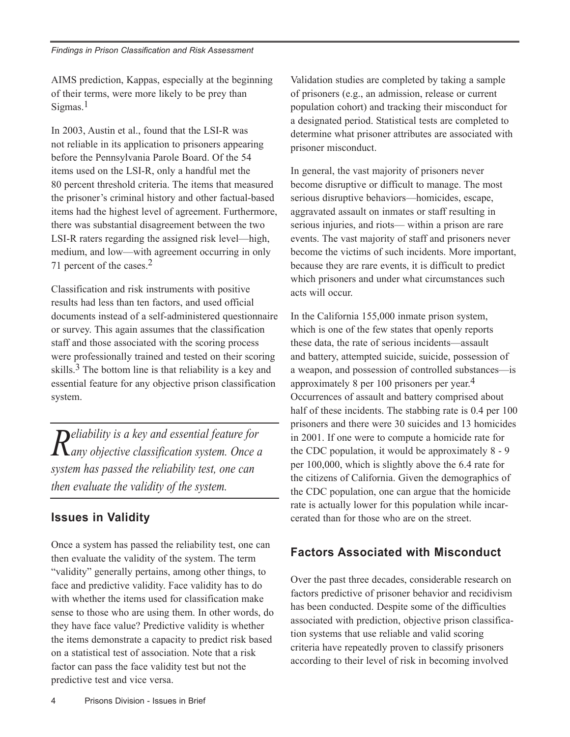AIMS prediction, Kappas, especially at the beginning of their terms, were more likely to be prey than  $Sigma<sub>1</sub>$ 

In 2003, Austin et al., found that the LSI-R was not reliable in its application to prisoners appearing before the Pennsylvania Parole Board. Of the 54 items used on the LSI-R, only a handful met the 80 percent threshold criteria. The items that measured the prisoner's criminal history and other factual-based items had the highest level of agreement. Furthermore, there was substantial disagreement between the two LSI-R raters regarding the assigned risk level—high, medium, and low—with agreement occurring in only 71 percent of the cases.2

Classification and risk instruments with positive results had less than ten factors, and used official documents instead of a self-administered questionnaire or survey. This again assumes that the classification staff and those associated with the scoring process were professionally trained and tested on their scoring skills.<sup>3</sup> The bottom line is that reliability is a key and essential feature for any objective prison classification system.

*Reliability is a key and essential feature for any objective classification system. Once a system has passed the reliability test, one can then evaluate the validity of the system.*

## **Issues in Validity**

Once a system has passed the reliability test, one can then evaluate the validity of the system. The term "validity" generally pertains, among other things, to face and predictive validity. Face validity has to do with whether the items used for classification make sense to those who are using them. In other words, do they have face value? Predictive validity is whether the items demonstrate a capacity to predict risk based on a statistical test of association. Note that a risk factor can pass the face validity test but not the predictive test and vice versa.

Validation studies are completed by taking a sample of prisoners (e.g., an admission, release or current population cohort) and tracking their misconduct for a designated period. Statistical tests are completed to determine what prisoner attributes are associated with prisoner misconduct.

In general, the vast majority of prisoners never become disruptive or difficult to manage. The most serious disruptive behaviors—homicides, escape, aggravated assault on inmates or staff resulting in serious injuries, and riots— within a prison are rare events. The vast majority of staff and prisoners never become the victims of such incidents. More important, because they are rare events, it is difficult to predict which prisoners and under what circumstances such acts will occur.

In the California 155,000 inmate prison system, which is one of the few states that openly reports these data, the rate of serious incidents—assault and battery, attempted suicide, suicide, possession of a weapon, and possession of controlled substances—is approximately 8 per 100 prisoners per year.4 Occurrences of assault and battery comprised about half of these incidents. The stabbing rate is 0.4 per 100 prisoners and there were 30 suicides and 13 homicides in 2001. If one were to compute a homicide rate for the CDC population, it would be approximately 8 - 9 per 100,000, which is slightly above the 6.4 rate for the citizens of California. Given the demographics of the CDC population, one can argue that the homicide rate is actually lower for this population while incarcerated than for those who are on the street.

## **Factors Associated with Misconduct**

Over the past three decades, considerable research on factors predictive of prisoner behavior and recidivism has been conducted. Despite some of the difficulties associated with prediction, objective prison classification systems that use reliable and valid scoring criteria have repeatedly proven to classify prisoners according to their level of risk in becoming involved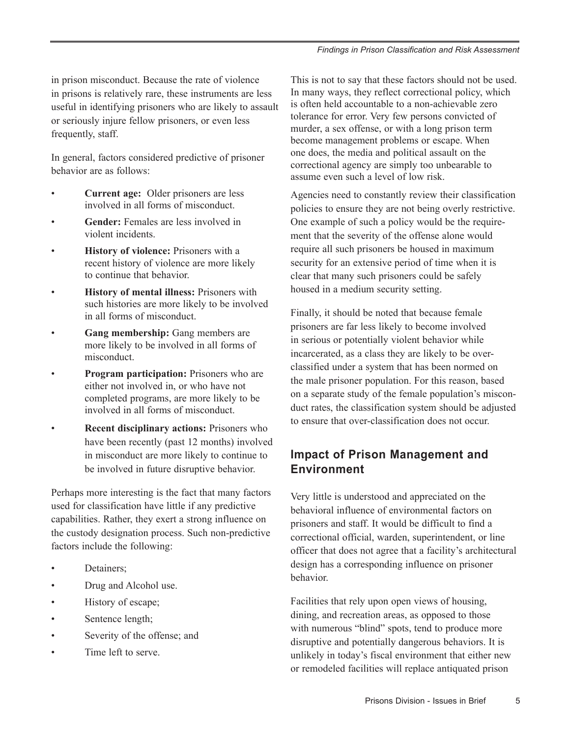in prison misconduct. Because the rate of violence in prisons is relatively rare, these instruments are less useful in identifying prisoners who are likely to assault or seriously injure fellow prisoners, or even less frequently, staff.

In general, factors considered predictive of prisoner behavior are as follows:

- **Current age:** Older prisoners are less involved in all forms of misconduct.
- **Gender:** Females are less involved in violent incidents.
- **History of violence:** Prisoners with a recent history of violence are more likely to continue that behavior.
- **History of mental illness:** Prisoners with such histories are more likely to be involved in all forms of misconduct.
- Gang membership: Gang members are more likely to be involved in all forms of misconduct.
- **Program participation:** Prisoners who are either not involved in, or who have not completed programs, are more likely to be involved in all forms of misconduct.
- **Recent disciplinary actions:** Prisoners who have been recently (past 12 months) involved in misconduct are more likely to continue to be involved in future disruptive behavior.

Perhaps more interesting is the fact that many factors used for classification have little if any predictive capabilities. Rather, they exert a strong influence on the custody designation process. Such non-predictive factors include the following:

- Detainers:
- Drug and Alcohol use.
- History of escape;
- Sentence length;
- Severity of the offense; and
- Time left to serve.

This is not to say that these factors should not be used. In many ways, they reflect correctional policy, which is often held accountable to a non-achievable zero tolerance for error. Very few persons convicted of murder, a sex offense, or with a long prison term become management problems or escape. When one does, the media and political assault on the correctional agency are simply too unbearable to assume even such a level of low risk.

Agencies need to constantly review their classification policies to ensure they are not being overly restrictive. One example of such a policy would be the requirement that the severity of the offense alone would require all such prisoners be housed in maximum security for an extensive period of time when it is clear that many such prisoners could be safely housed in a medium security setting.

Finally, it should be noted that because female prisoners are far less likely to become involved in serious or potentially violent behavior while incarcerated, as a class they are likely to be overclassified under a system that has been normed on the male prisoner population. For this reason, based on a separate study of the female population's misconduct rates, the classification system should be adjusted to ensure that over-classification does not occur.

# **Impact of Prison Management and Environment**

Very little is understood and appreciated on the behavioral influence of environmental factors on prisoners and staff. It would be difficult to find a correctional official, warden, superintendent, or line officer that does not agree that a facility's architectural design has a corresponding influence on prisoner behavior.

Facilities that rely upon open views of housing, dining, and recreation areas, as opposed to those with numerous "blind" spots, tend to produce more disruptive and potentially dangerous behaviors. It is unlikely in today's fiscal environment that either new or remodeled facilities will replace antiquated prison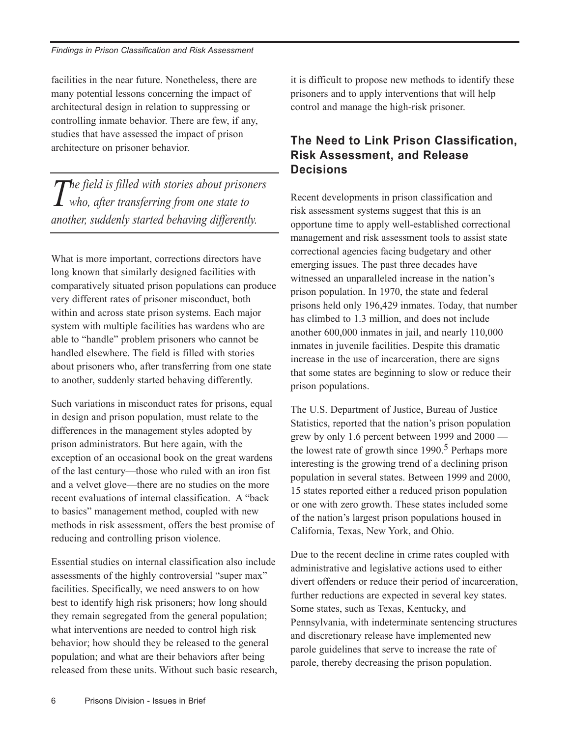facilities in the near future. Nonetheless, there are many potential lessons concerning the impact of architectural design in relation to suppressing or controlling inmate behavior. There are few, if any, studies that have assessed the impact of prison architecture on prisoner behavior.

*The field is filled with stories about prisoners who, after transferring from one state to another, suddenly started behaving differently.*

What is more important, corrections directors have long known that similarly designed facilities with comparatively situated prison populations can produce very different rates of prisoner misconduct, both within and across state prison systems. Each major system with multiple facilities has wardens who are able to "handle" problem prisoners who cannot be handled elsewhere. The field is filled with stories about prisoners who, after transferring from one state to another, suddenly started behaving differently.

Such variations in misconduct rates for prisons, equal in design and prison population, must relate to the differences in the management styles adopted by prison administrators. But here again, with the exception of an occasional book on the great wardens of the last century—those who ruled with an iron fist and a velvet glove—there are no studies on the more recent evaluations of internal classification. A "back to basics" management method, coupled with new methods in risk assessment, offers the best promise of reducing and controlling prison violence.

Essential studies on internal classification also include assessments of the highly controversial "super max" facilities. Specifically, we need answers to on how best to identify high risk prisoners; how long should they remain segregated from the general population; what interventions are needed to control high risk behavior; how should they be released to the general population; and what are their behaviors after being released from these units. Without such basic research, it is difficult to propose new methods to identify these prisoners and to apply interventions that will help control and manage the high-risk prisoner.

#### **The Need to Link Prison Classification, Risk Assessment, and Release Decisions**

Recent developments in prison classification and risk assessment systems suggest that this is an opportune time to apply well-established correctional management and risk assessment tools to assist state correctional agencies facing budgetary and other emerging issues. The past three decades have witnessed an unparalleled increase in the nation's prison population. In 1970, the state and federal prisons held only 196,429 inmates. Today, that number has climbed to 1.3 million, and does not include another 600,000 inmates in jail, and nearly 110,000 inmates in juvenile facilities. Despite this dramatic increase in the use of incarceration, there are signs that some states are beginning to slow or reduce their prison populations.

The U.S. Department of Justice, Bureau of Justice Statistics, reported that the nation's prison population grew by only 1.6 percent between 1999 and 2000 the lowest rate of growth since  $1990<sup>5</sup>$  Perhaps more interesting is the growing trend of a declining prison population in several states. Between 1999 and 2000, 15 states reported either a reduced prison population or one with zero growth. These states included some of the nation's largest prison populations housed in California, Texas, New York, and Ohio.

Due to the recent decline in crime rates coupled with administrative and legislative actions used to either divert offenders or reduce their period of incarceration, further reductions are expected in several key states. Some states, such as Texas, Kentucky, and Pennsylvania, with indeterminate sentencing structures and discretionary release have implemented new parole guidelines that serve to increase the rate of parole, thereby decreasing the prison population.